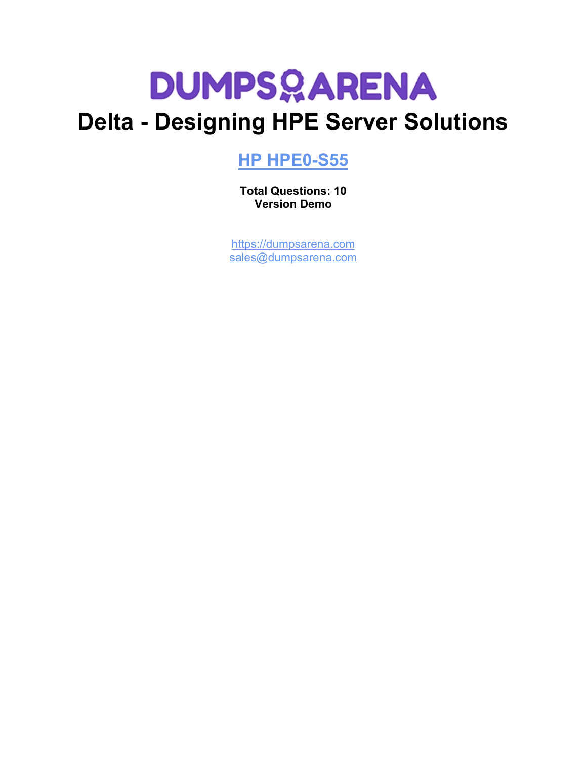

# **Delta - Designing HPE Server Solutions**

# **[HP HPE0-S55](https://dumpsarena.com/exam/hpe0-s55/)**

**Total Questions: 10 Version Demo**

[https://dumpsarena.com](https://dumpsarena.com/) [sales@dumpsarena.com](mailto:sales@dumpsarena.com)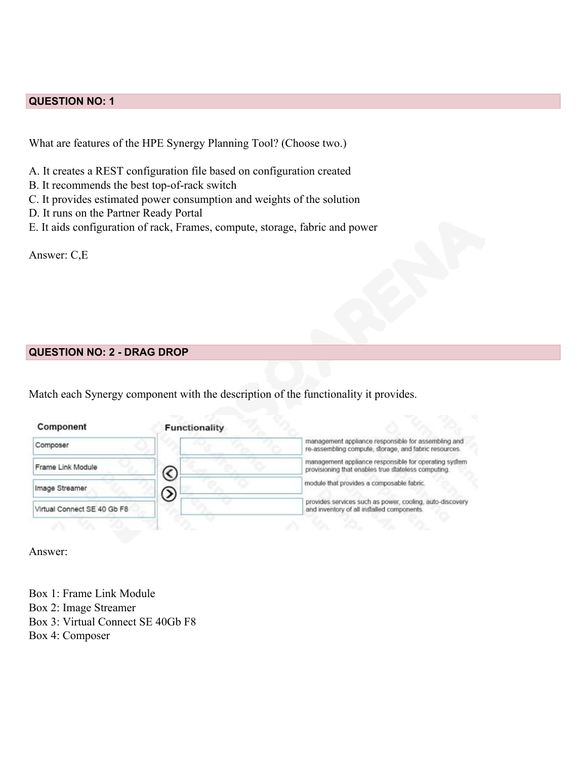## **QUESTION NO: 1**

What are features of the HPE Synergy Planning Tool? (Choose two.)

- A. It creates a REST configuration file based on configuration created
- B. It recommends the best top-of-rack switch
- C. It provides estimated power consumption and weights of the solution
- D. It runs on the Partner Ready Portal
- E. It aids configuration of rack, Frames, compute, storage, fabric and power

Answer: C,E

#### **QUESTION NO: 2 - DRAG DROP**

Match each Synergy component with the description of the functionality it provides.

| Component                   | <b>Functionality</b> |                                                                                                              |
|-----------------------------|----------------------|--------------------------------------------------------------------------------------------------------------|
| Composer                    |                      | management appliance responsible for assembling and<br>re-assembling compute, storage, and fabric resources. |
| Frame Link Module           | ╭                    | management appliance responsible for operating system<br>provisioning that enables true stateless computing. |
| Image Streamer              | ≥                    | module that provides a composable fabric.                                                                    |
| Virtual Connect SE 40 Gb F8 |                      | provides services such as power, cooling, auto-discovery<br>and inventory of all installed components.       |

Answer:

Box 1: Frame Link Module Box 2: Image Streamer Box 3: Virtual Connect SE 40Gb F8 Box 4: Composer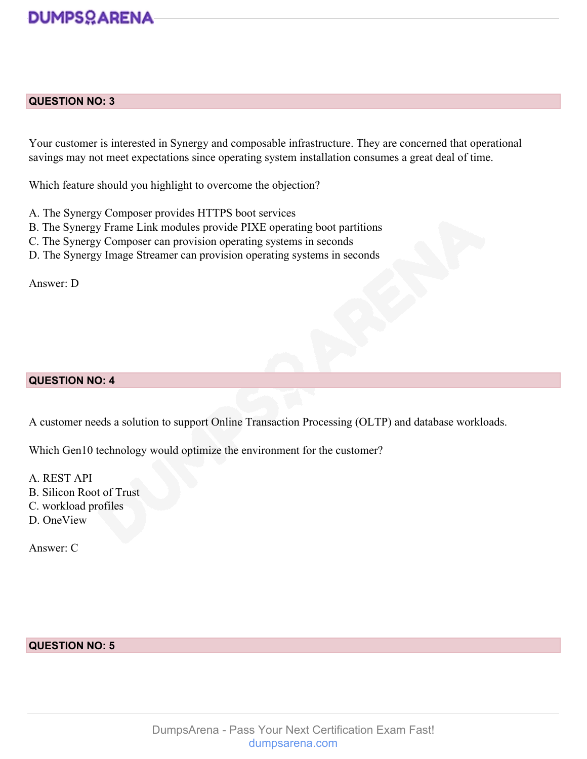# **DUMPSOARENA**

#### **QUESTION NO: 3**

Your customer is interested in Synergy and composable infrastructure. They are concerned that operational savings may not meet expectations since operating system installation consumes a great deal of time.

Which feature should you highlight to overcome the objection?

- A. The Synergy Composer provides HTTPS boot services
- B. The Synergy Frame Link modules provide PIXE operating boot partitions
- C. The Synergy Composer can provision operating systems in seconds
- D. The Synergy Image Streamer can provision operating systems in seconds

Answer: D

#### **QUESTION NO: 4**

A customer needs a solution to support Online Transaction Processing (OLTP) and database workloads.

Which Gen10 technology would optimize the environment for the customer?

A. REST API B. Silicon Root of Trust C. workload profiles

D. OneView

Answer: C

### **QUESTION NO: 5**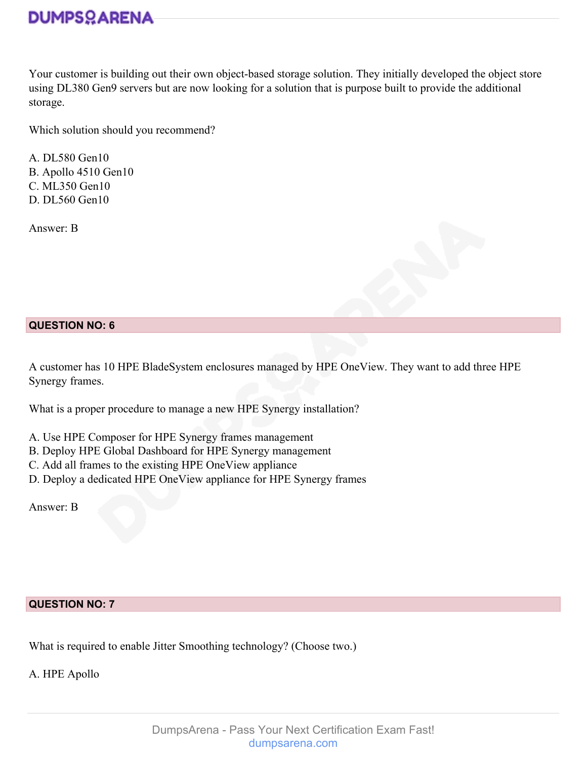Your customer is building out their own object-based storage solution. They initially developed the object store using DL380 Gen9 servers but are now looking for a solution that is purpose built to provide the additional storage.

Which solution should you recommend?

A. DL580 Gen10 B. Apollo 4510 Gen10 C. ML350 Gen10 D. DL560 Gen10

Answer: B



A customer has 10 HPE BladeSystem enclosures managed by HPE OneView. They want to add three HPE Synergy frames.

What is a proper procedure to manage a new HPE Synergy installation?

- A. Use HPE Composer for HPE Synergy frames management
- B. Deploy HPE Global Dashboard for HPE Synergy management
- C. Add all frames to the existing HPE OneView appliance
- D. Deploy a dedicated HPE OneView appliance for HPE Synergy frames

Answer: B

### **QUESTION NO: 7**

What is required to enable Jitter Smoothing technology? (Choose two.)

A. HPE Apollo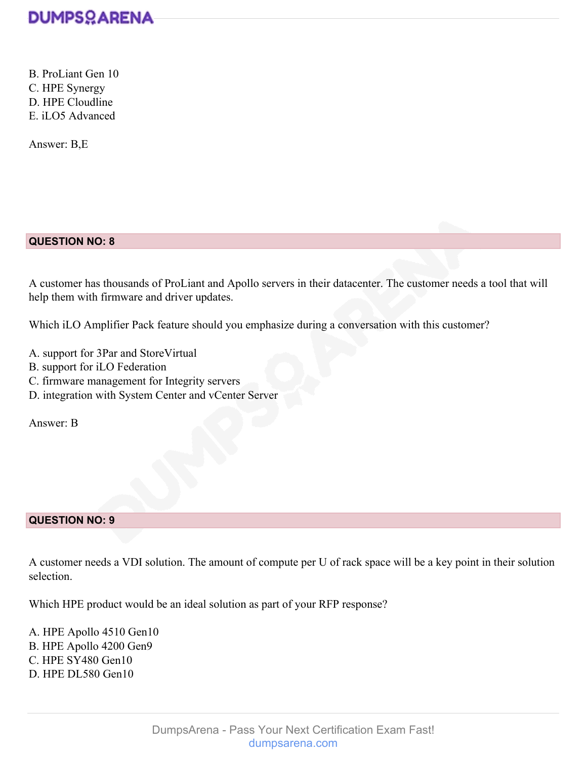

B. ProLiant Gen 10 C. HPE Synergy D. HPE Cloudline E. iLO5 Advanced

Answer: B,E

#### **QUESTION NO: 8**

A customer has thousands of ProLiant and Apollo servers in their datacenter. The customer needs a tool that will help them with firmware and driver updates.

Which iLO Amplifier Pack feature should you emphasize during a conversation with this customer?

- A. support for 3Par and StoreVirtual
- B. support for iLO Federation
- C. firmware management for Integrity servers
- D. integration with System Center and vCenter Server

Answer: B

#### **QUESTION NO: 9**

A customer needs a VDI solution. The amount of compute per U of rack space will be a key point in their solution selection.

Which HPE product would be an ideal solution as part of your RFP response?

A. HPE Apollo 4510 Gen10 B. HPE Apollo 4200 Gen9 C. HPE SY480 Gen10 D. HPE DL580 Gen10